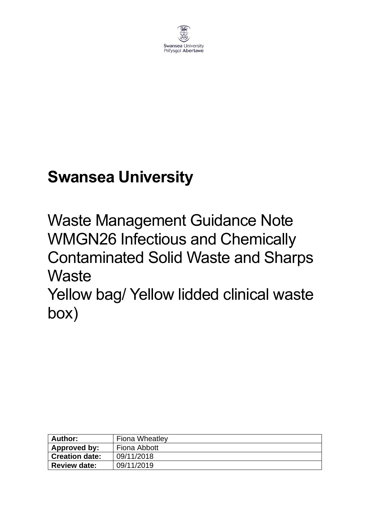

# **Swansea University**

Waste Management Guidance Note WMGN26 Infectious and Chemically Contaminated Solid Waste and Sharps **Waste** 

Yellow bag/ Yellow lidded clinical waste box)

| Author:               | <b>Fiona Wheatley</b> |  |
|-----------------------|-----------------------|--|
| Approved by:          | Fiona Abbott          |  |
| <b>Creation date:</b> | 09/11/2018            |  |
| <b>Review date:</b>   | 09/11/2019            |  |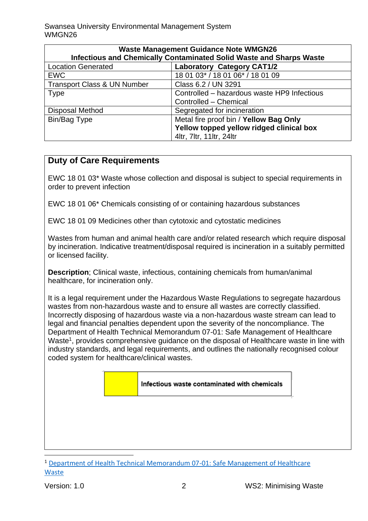| <b>Waste Management Guidance Note WMGN26</b>                        |                                             |  |
|---------------------------------------------------------------------|---------------------------------------------|--|
| Infectious and Chemically Contaminated Solid Waste and Sharps Waste |                                             |  |
| <b>Location Generated</b>                                           | <b>Laboratory Category CAT1/2</b>           |  |
| <b>EWC</b>                                                          | 18 01 03* / 18 01 06* / 18 01 09            |  |
| <b>Transport Class &amp; UN Number</b>                              | Class 6.2 / UN 3291                         |  |
| <b>Type</b>                                                         | Controlled - hazardous waste HP9 Infectious |  |
|                                                                     | Controlled - Chemical                       |  |
| <b>Disposal Method</b>                                              | Segregated for incineration                 |  |
| Bin/Bag Type                                                        | Metal fire proof bin / Yellow Bag Only      |  |
|                                                                     | Yellow topped yellow ridged clinical box    |  |
|                                                                     | 4ltr, 7ltr, 11ltr, 24ltr                    |  |

# **Duty of Care Requirements**

EWC 18 01 03\* Waste whose collection and disposal is subject to special requirements in order to prevent infection

EWC 18 01 06\* Chemicals consisting of or containing hazardous substances

EWC 18 01 09 Medicines other than cytotoxic and cytostatic medicines

Wastes from human and animal health care and/or related research which require disposal by incineration. Indicative treatment/disposal required is incineration in a suitably permitted or licensed facility.

**Description**; Clinical waste, infectious, containing chemicals from human/animal healthcare, for incineration only.

It is a legal requirement under the Hazardous Waste Regulations to segregate hazardous wastes from non-hazardous waste and to ensure all wastes are correctly classified. Incorrectly disposing of hazardous waste via a non-hazardous waste stream can lead to legal and financial penalties dependent upon the severity of the noncompliance. The Department of Health Technical Memorandum 07-01: Safe Management of Healthcare Waste<sup>1</sup>, provides comprehensive guidance on the disposal of Healthcare waste in line with industry standards, and legal requirements, and outlines the nationally recognised colour coded system for healthcare/clinical wastes.

#### Infectious waste contaminated with chemicals

<sup>1</sup> [Department of Health Technical Memorandum 07-01: Safe Management of Healthcare](https://www.gov.uk/government/publications/guidance-on-the-safe-management-of-healthcare-waste)  **[Waste](https://www.gov.uk/government/publications/guidance-on-the-safe-management-of-healthcare-waste)**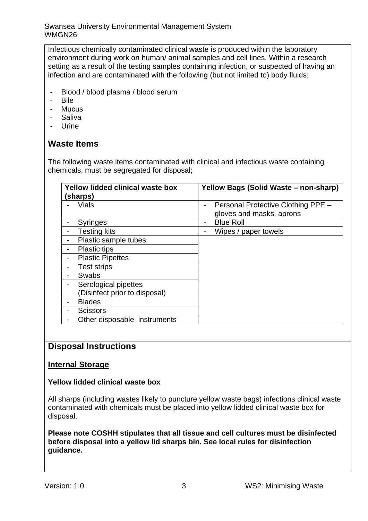Swansea University Environmental Management System WMGN26

Infectious chemically contaminated clinical waste is produced within the laboratory environment during work on human/ animal samples and cell lines. Within a research setting as a result of the testing samples containing infection, or suspected of having an infection and are contaminated with the following (but not limited to) body fluids;

- Blood / blood plasma / blood serum
- Bile
- Mucus
- Saliva
- Urine

# **Waste Items**

The following waste items contaminated with clinical and infectious waste containing chemicals, must be segregated for disposal;

| Yellow lidded clinical waste box<br>(sharps) | Yellow Bags (Solid Waste - non-sharp)   |
|----------------------------------------------|-----------------------------------------|
| Vials                                        | Personal Protective Clothing PPE -<br>- |
|                                              | gloves and masks, aprons                |
| <b>Syringes</b>                              | <b>Blue Roll</b>                        |
| <b>Testing kits</b>                          | Wipes / paper towels                    |
| Plastic sample tubes                         |                                         |
| <b>Plastic tips</b>                          |                                         |
| <b>Plastic Pipettes</b>                      |                                         |
| <b>Test strips</b>                           |                                         |
| Swabs                                        |                                         |
| Serological pipettes                         |                                         |
| (Disinfect prior to disposal)                |                                         |
| <b>Blades</b>                                |                                         |
| <b>Scissors</b>                              |                                         |
| Other disposable instruments                 |                                         |

# **Disposal Instructions**

# **Internal Storage**

#### **Yellow lidded clinical waste box**

All sharps (including wastes likely to puncture yellow waste bags) infections clinical waste contaminated with chemicals must be placed into yellow lidded clinical waste box for disposal.

**Please note COSHH stipulates that all tissue and cell cultures must be disinfected before disposal into a yellow lid sharps bin. See local rules for disinfection guidance.**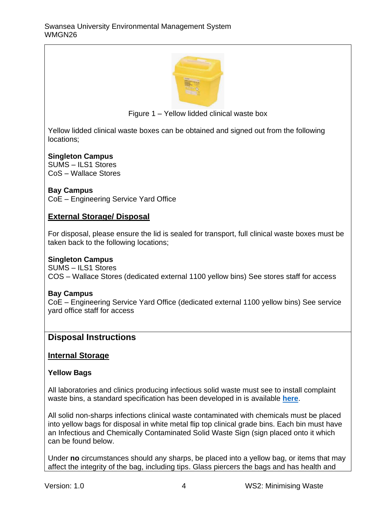

Figure 1 – Yellow lidded clinical waste box

Yellow lidded clinical waste boxes can be obtained and signed out from the following locations;

#### **Singleton Campus**

SUMS – ILS1 Stores CoS – Wallace Stores

# **Bay Campus**

CoE – Engineering Service Yard Office

# **External Storage/ Disposal**

For disposal, please ensure the lid is sealed for transport, full clinical waste boxes must be taken back to the following locations;

#### **Singleton Campus**

SUMS – ILS1 Stores COS – Wallace Stores (dedicated external 1100 yellow bins) See stores staff for access

#### **Bay Campus**

CoE – Engineering Service Yard Office (dedicated external 1100 yellow bins) See service yard office staff for access

# **Disposal Instructions**

# **Internal Storage**

#### **Yellow Bags**

All laboratories and clinics producing infectious solid waste must see to install complaint waste bins, a standard specification has been developed in is available **[here](https://staff.swansea.ac.uk/media/compliant-chemically-contaminated-and-clinical-waste-bins.pdf)**.

All solid non-sharps infections clinical waste contaminated with chemicals must be placed into yellow bags for disposal in white metal flip top clinical grade bins. Each bin must have an Infectious and Chemically Contaminated Solid Waste Sign (sign placed onto it which can be found below.

Under **no** circumstances should any sharps, be placed into a yellow bag, or items that may affect the integrity of the bag, including tips. Glass piercers the bags and has health and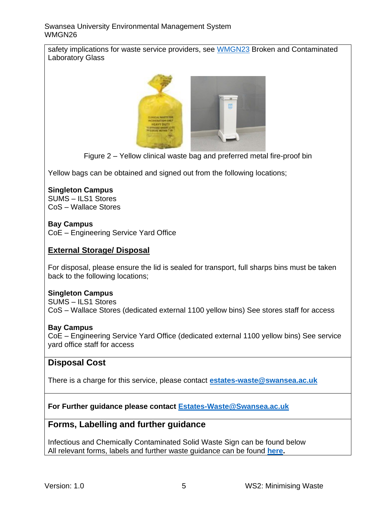#### Swansea University Environmental Management System WMGN26

safety implications for waste service providers, see [WMGN23](https://www.swansea.ac.uk/media/wmgn23-laboratory-and-workshop-glass-and-glass-sharps-waste.pdf) Broken and Contaminated Laboratory Glass



Figure 2 – Yellow clinical waste bag and preferred metal fire-proof bin

Yellow bags can be obtained and signed out from the following locations:

# **Singleton Campus**

SUMS – ILS1 Stores CoS – Wallace Stores

# **Bay Campus**

CoE – Engineering Service Yard Office

# **External Storage/ Disposal**

For disposal, please ensure the lid is sealed for transport, full sharps bins must be taken back to the following locations;

#### **Singleton Campus**

SUMS – ILS1 Stores CoS – Wallace Stores (dedicated external 1100 yellow bins) See stores staff for access

#### **Bay Campus**

CoE – Engineering Service Yard Office (dedicated external 1100 yellow bins) See service yard office staff for access

# **Disposal Cost**

There is a charge for this service, please contact **[estates-waste@swansea.ac.uk](mailto:estates-waste@swansea.ac.uk)**

**For Further guidance please contact [Estates-Waste@Swansea.ac.uk](mailto:Estates-Waste@Swansea.ac.uk)**

# **Forms, Labelling and further guidance**

Infectious and Chemically Contaminated Solid Waste Sign can be found below All relevant forms, labels and further waste guidance can be found **[here.](https://www.swansea.ac.uk/sustainability/waste/#waste-management-guidance-notes=is-expanded)**